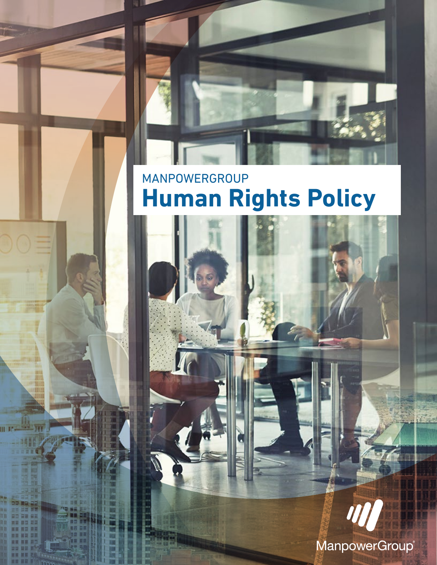# MANPOWERGROUP **Human Rights Policy**

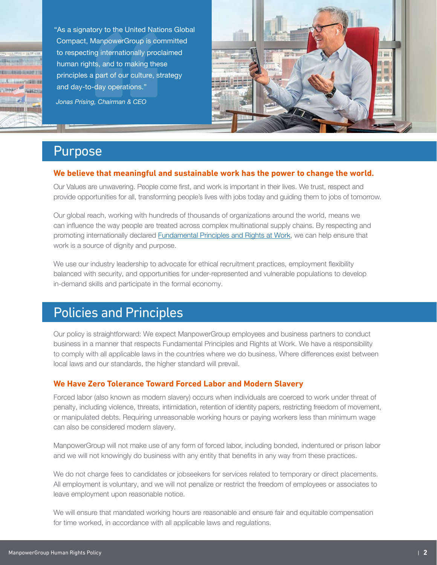**RITIONERS GENERAL SULLWANEERS Barr** 

"As a signatory to the United Nations Global Compact, ManpowerGroup is committed to respecting internationally proclaimed human rights, and to making these principles a part of our culture, strategy and day-to-day operations." *Jonas Prising, Chairman & CEO*



## Purpose

#### **We believe that meaningful and sustainable work has the power to change the world.**

Our Values are unwavering. People come first, and work is important in their lives. We trust, respect and provide opportunities for all, transforming people's lives with jobs today and guiding them to jobs of tomorrow.

Our global reach, working with hundreds of thousands of organizations around the world, means we can influence the way people are treated across complex multinational supply chains. By respecting and promoting internationally declared **Fundamental Principles and Rights at Work**, we can help ensure that work is a source of dignity and purpose.

We use our industry leadership to advocate for ethical recruitment practices, employment flexibility balanced with security, and opportunities for under-represented and vulnerable populations to develop in-demand skills and participate in the formal economy.

## Policies and Principles

Our policy is straightforward: We expect ManpowerGroup employees and business partners to conduct business in a manner that respects Fundamental Principles and Rights at Work. We have a responsibility to comply with all applicable laws in the countries where we do business. Where differences exist between local laws and our standards, the higher standard will prevail.

### **We Have Zero Tolerance Toward Forced Labor and Modern Slavery**

Forced labor (also known as modern slavery) occurs when individuals are coerced to work under threat of penalty, including violence, threats, intimidation, retention of identity papers, restricting freedom of movement, or manipulated debts. Requiring unreasonable working hours or paying workers less than minimum wage can also be considered modern slavery.

ManpowerGroup will not make use of any form of forced labor, including bonded, indentured or prison labor and we will not knowingly do business with any entity that benefits in any way from these practices.

We do not charge fees to candidates or jobseekers for services related to temporary or direct placements. All employment is voluntary, and we will not penalize or restrict the freedom of employees or associates to leave employment upon reasonable notice.

We will ensure that mandated working hours are reasonable and ensure fair and equitable compensation for time worked, in accordance with all applicable laws and regulations.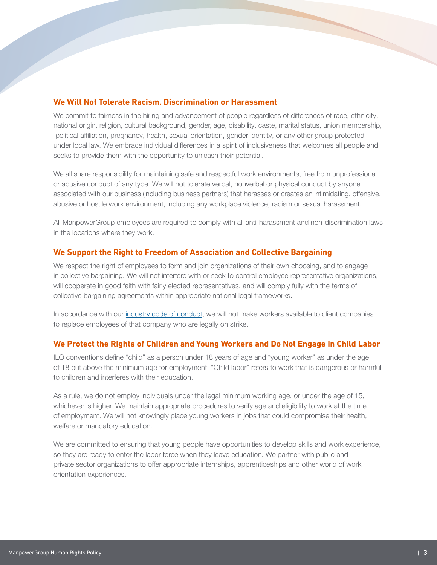### **We Will Not Tolerate Racism, Discrimination or Harassment**

We commit to fairness in the hiring and advancement of people regardless of differences of race, ethnicity, national origin, religion, cultural background, gender, age, disability, caste, marital status, union membership, political affiliation, pregnancy, health, sexual orientation, gender identity, or any other group protected under local law. We embrace individual differences in a spirit of inclusiveness that welcomes all people and seeks to provide them with the opportunity to unleash their potential.

We all share responsibility for maintaining safe and respectful work environments, free from unprofessional or abusive conduct of any type. We will not tolerate verbal, nonverbal or physical conduct by anyone associated with our business (including business partners) that harasses or creates an intimidating, offensive, abusive or hostile work environment, including any workplace violence, racism or sexual harassment.

All ManpowerGroup employees are required to comply with all anti-harassment and non-discrimination laws in the locations where they work.

#### **We Support the Right to Freedom of Association and Collective Bargaining**

We respect the right of employees to form and join organizations of their own choosing, and to engage in collective bargaining. We will not interfere with or seek to control employee representative organizations, will cooperate in good faith with fairly elected representatives, and will comply fully with the terms of collective bargaining agreements within appropriate national legal frameworks.

In accordance with our [industry code of conduct,](https://wecglobal.org/world-employment-confederation-global/code-of-conduct-2/) we will not make workers available to client companies to replace employees of that company who are legally on strike.

#### **We Protect the Rights of Children and Young Workers and Do Not Engage in Child Labor**

ILO conventions define "child" as a person under 18 years of age and "young worker" as under the age of 18 but above the minimum age for employment. "Child labor" refers to work that is dangerous or harmful to children and interferes with their education.

As a rule, we do not employ individuals under the legal minimum working age, or under the age of 15, whichever is higher. We maintain appropriate procedures to verify age and eligibility to work at the time of employment. We will not knowingly place young workers in jobs that could compromise their health, welfare or mandatory education.

We are committed to ensuring that young people have opportunities to develop skills and work experience, so they are ready to enter the labor force when they leave education. We partner with public and private sector organizations to offer appropriate internships, apprenticeships and other world of work orientation experiences.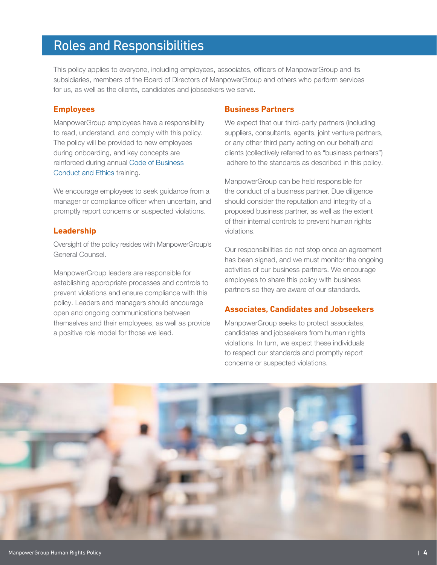## Roles and Responsibilities

This policy applies to everyone, including employees, associates, officers of ManpowerGroup and its subsidiaries, members of the Board of Directors of ManpowerGroup and others who perform services for us, as well as the clients, candidates and jobseekers we serve.

#### **Employees**

ManpowerGroup employees have a responsibility to read, understand, and comply with this policy. The policy will be provided to new employees during onboarding, and key concepts are reinforced during annual [Code of Business](https://manpowergroup.com/ethics/code-of-business-conduct-and-ethics)  [Conduct and Ethics](https://manpowergroup.com/ethics/code-of-business-conduct-and-ethics) training.

We encourage employees to seek guidance from a manager or compliance officer when uncertain, and promptly report concerns or suspected violations.

#### **Leadership**

Oversight of the policy resides with ManpowerGroup's General Counsel.

ManpowerGroup leaders are responsible for establishing appropriate processes and controls to prevent violations and ensure compliance with this policy. Leaders and managers should encourage open and ongoing communications between themselves and their employees, as well as provide a positive role model for those we lead.

#### **Business Partners**

We expect that our third-party partners (including suppliers, consultants, agents, joint venture partners, or any other third party acting on our behalf) and clients (collectively referred to as "business partners") adhere to the standards as described in this policy.

ManpowerGroup can be held responsible for the conduct of a business partner. Due diligence should consider the reputation and integrity of a proposed business partner, as well as the extent of their internal controls to prevent human rights violations.

Our responsibilities do not stop once an agreement has been signed, and we must monitor the ongoing activities of our business partners. We encourage employees to share this policy with business partners so they are aware of our standards.

#### **Associates, Candidates and Jobseekers**

ManpowerGroup seeks to protect associates, candidates and jobseekers from human rights violations. In turn, we expect these individuals to respect our standards and promptly report concerns or suspected violations.

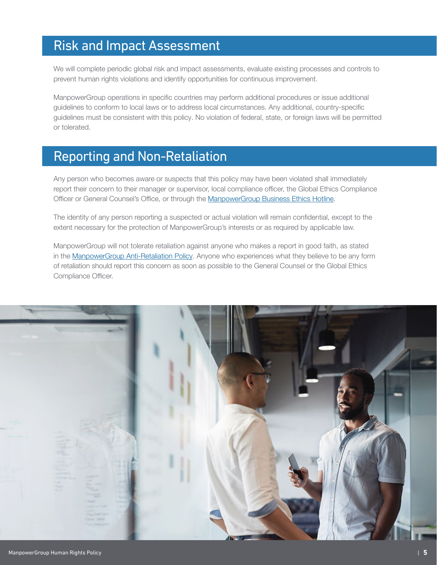## Risk and Impact Assessment

We will complete periodic global risk and impact assessments, evaluate existing processes and controls to prevent human rights violations and identify opportunities for continuous improvement.

ManpowerGroup operations in specific countries may perform additional procedures or issue additional guidelines to conform to local laws or to address local circumstances. Any additional, country-specific guidelines must be consistent with this policy. No violation of federal, state, or foreign laws will be permitted or tolerated.

### Reporting and Non-Retaliation

Any person who becomes aware or suspects that this policy may have been violated shall immediately report their concern to their manager or supervisor, local compliance officer, the Global Ethics Compliance Officer or General Counsel's Office, or through the [ManpowerGroup Business Ethics Hotline](https://manpowergroup.com/ethics/business-ethics-hotline).

The identity of any person reporting a suspected or actual violation will remain confidential, except to the extent necessary for the protection of ManpowerGroup's interests or as required by applicable law.

ManpowerGroup will not tolerate retaliation against anyone who makes a report in good faith, as stated in the [ManpowerGroup Anti-Retaliation Policy](https://www.manpowergroup.com/wps/wcm/connect/cefb2bf9-3500-4549-b58f-b3c11db13659/MPG+Anti-Retaliation+Policy+(120314).pdf?MOD=AJPERES). Anyone who experiences what they believe to be any form of retaliation should report this concern as soon as possible to the General Counsel or the Global Ethics Compliance Officer.